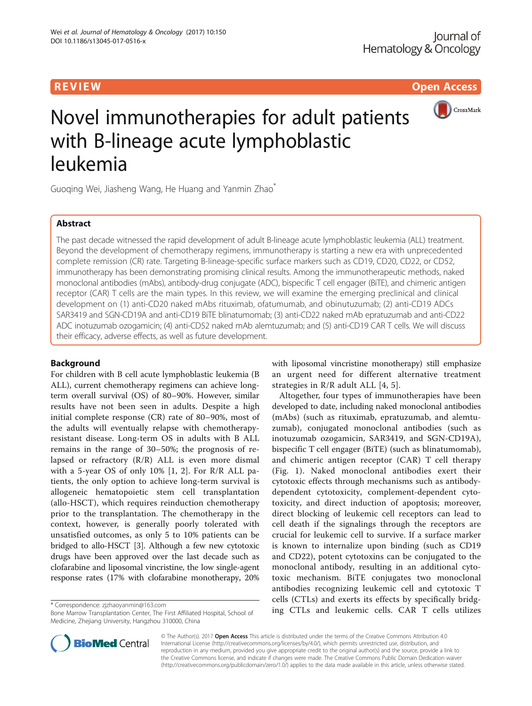**REVIEW ACCESS AND LOCAL CONTRACT CONTRACT OF ACCESS** 



# Novel immunotherapies for adult patients with B-lineage acute lymphoblastic leukemia

Guoqing Wei, Jiasheng Wang, He Huang and Yanmin Zhao<sup>\*</sup>

# Abstract

The past decade witnessed the rapid development of adult B-lineage acute lymphoblastic leukemia (ALL) treatment. Beyond the development of chemotherapy regimens, immunotherapy is starting a new era with unprecedented complete remission (CR) rate. Targeting B-lineage-specific surface markers such as CD19, CD20, CD22, or CD52, immunotherapy has been demonstrating promising clinical results. Among the immunotherapeutic methods, naked monoclonal antibodies (mAbs), antibody-drug conjugate (ADC), bispecific T cell engager (BiTE), and chimeric antigen receptor (CAR) T cells are the main types. In this review, we will examine the emerging preclinical and clinical development on (1) anti-CD20 naked mAbs rituximab, ofatumumab, and obinutuzumab; (2) anti-CD19 ADCs SAR3419 and SGN-CD19A and anti-CD19 BiTE blinatumomab; (3) anti-CD22 naked mAb epratuzumab and anti-CD22 ADC inotuzumab ozogamicin; (4) anti-CD52 naked mAb alemtuzumab; and (5) anti-CD19 CAR T cells. We will discuss their efficacy, adverse effects, as well as future development.

# Background

For children with B cell acute lymphoblastic leukemia (B ALL), current chemotherapy regimens can achieve longterm overall survival (OS) of 80–90%. However, similar results have not been seen in adults. Despite a high initial complete response (CR) rate of 80–90%, most of the adults will eventually relapse with chemotherapyresistant disease. Long-term OS in adults with B ALL remains in the range of 30–50%; the prognosis of relapsed or refractory (R/R) ALL is even more dismal with a 5-year OS of only 10% [\[1](#page-10-0), [2\]](#page-10-0). For R/R ALL patients, the only option to achieve long-term survival is allogeneic hematopoietic stem cell transplantation (allo-HSCT), which requires reinduction chemotherapy prior to the transplantation. The chemotherapy in the context, however, is generally poorly tolerated with unsatisfied outcomes, as only 5 to 10% patients can be bridged to allo-HSCT [[3\]](#page-10-0). Although a few new cytotoxic drugs have been approved over the last decade such as clofarabine and liposomal vincristine, the low single-agent response rates (17% with clofarabine monotherapy, 20%

Bone Marrow Transplantation Center, The First Affiliated Hospital, School of Medicine, Zhejiang University, Hangzhou 310000, China

with liposomal vincristine monotherapy) still emphasize an urgent need for different alternative treatment strategies in R/R adult ALL [[4, 5](#page-10-0)].

Altogether, four types of immunotherapies have been developed to date, including naked monoclonal antibodies (mAbs) (such as rituximab, epratuzumab, and alemtuzumab), conjugated monoclonal antibodies (such as inotuzumab ozogamicin, SAR3419, and SGN-CD19A), bispecific T cell engager (BiTE) (such as blinatumomab), and chimeric antigen receptor (CAR) T cell therapy (Fig. [1](#page-1-0)). Naked monoclonal antibodies exert their cytotoxic effects through mechanisms such as antibodydependent cytotoxicity, complement-dependent cytotoxicity, and direct induction of apoptosis; moreover, direct blocking of leukemic cell receptors can lead to cell death if the signalings through the receptors are crucial for leukemic cell to survive. If a surface marker is known to internalize upon binding (such as CD19 and CD22), potent cytotoxins can be conjugated to the monoclonal antibody, resulting in an additional cytotoxic mechanism. BiTE conjugates two monoclonal antibodies recognizing leukemic cell and cytotoxic T cells (CTLs) and exerts its effects by specifically bridging CTLs and leukemic cells. CAR T cells utilizes \* Correspondence: [zjzhaoyanmin@163.com](mailto:zjzhaoyanmin@163.com)



© The Author(s). 2017 Open Access This article is distributed under the terms of the Creative Commons Attribution 4.0 International License [\(http://creativecommons.org/licenses/by/4.0/](http://creativecommons.org/licenses/by/4.0/)), which permits unrestricted use, distribution, and reproduction in any medium, provided you give appropriate credit to the original author(s) and the source, provide a link to the Creative Commons license, and indicate if changes were made. The Creative Commons Public Domain Dedication waiver [\(http://creativecommons.org/publicdomain/zero/1.0/](http://creativecommons.org/publicdomain/zero/1.0/)) applies to the data made available in this article, unless otherwise stated.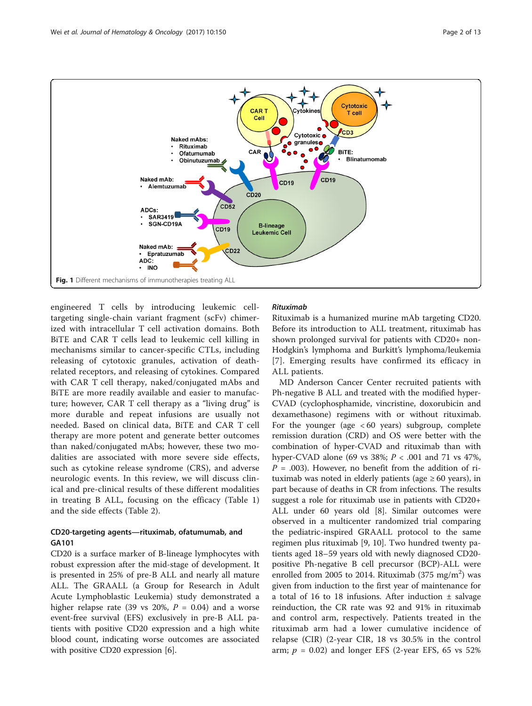<span id="page-1-0"></span>

engineered T cells by introducing leukemic celltargeting single-chain variant fragment (scFv) chimerized with intracellular T cell activation domains. Both BiTE and CAR T cells lead to leukemic cell killing in mechanisms similar to cancer-specific CTLs, including releasing of cytotoxic granules, activation of deathrelated receptors, and releasing of cytokines. Compared with CAR T cell therapy, naked/conjugated mAbs and BiTE are more readily available and easier to manufacture; however, CAR T cell therapy as a "living drug" is more durable and repeat infusions are usually not needed. Based on clinical data, BiTE and CAR T cell therapy are more potent and generate better outcomes than naked/conjugated mAbs; however, these two modalities are associated with more severe side effects, such as cytokine release syndrome (CRS), and adverse neurologic events. In this review, we will discuss clinical and pre-clinical results of these different modalities in treating B ALL, focusing on the efficacy (Table [1](#page-2-0)) and the side effects (Table [2\)](#page-3-0).

# CD20-targeting agents—rituximab, ofatumumab, and GA101

CD20 is a surface marker of B-lineage lymphocytes with robust expression after the mid-stage of development. It is presented in 25% of pre-B ALL and nearly all mature ALL. The GRAALL ([a Group for Research in Adult](http://www.ncbi.nlm.nih.gov/pubmed/26944475) [Acute Lymphoblastic Leukemia](http://www.ncbi.nlm.nih.gov/pubmed/26944475)) study demonstrated a higher relapse rate (39 vs 20%,  $P = 0.04$ ) and a worse event-free survival (EFS) exclusively in pre-B ALL patients with positive CD20 expression and a high white blood count, indicating worse outcomes are associated with positive CD20 expression [[6](#page-10-0)].

# Rituximab

Rituximab is a humanized murine mAb targeting CD20. Before its introduction to ALL treatment, rituximab has shown prolonged survival for patients with CD20+ non-Hodgkin's lymphoma and Burkitt's lymphoma/leukemia [[7](#page-10-0)]. Emerging results have confirmed its efficacy in ALL patients.

MD Anderson Cancer Center recruited patients with Ph-negative B ALL and treated with the modified hyper-CVAD (cyclophosphamide, vincristine, doxorubicin and dexamethasone) regimens with or without rituximab. For the younger (age  $<60$  years) subgroup, complete remission duration (CRD) and OS were better with the combination of hyper-CVAD and rituximab than with hyper-CVAD alone (69 vs 38%;  $P < .001$  and 71 vs 47%,  $P = .003$ ). However, no benefit from the addition of rituximab was noted in elderly patients (age  $\geq 60$  years), in part because of deaths in CR from infections. The results suggest a role for rituximab use in patients with CD20+ ALL under 60 years old [[8\]](#page-10-0). Similar outcomes were observed in a multicenter randomized trial comparing the pediatric-inspired GRAALL protocol to the same regimen plus rituximab [\[9](#page-10-0), [10](#page-10-0)]. Two hundred twenty patients aged 18–59 years old with newly diagnosed CD20 positive Ph-negative B cell precursor (BCP)-ALL were enrolled from 2005 to 2014. Rituximab (375 mg/m<sup>2</sup>) was given from induction to the first year of maintenance for a total of 16 to 18 infusions. After induction  $\pm$  salvage reinduction, the CR rate was 92 and 91% in rituximab and control arm, respectively. Patients treated in the rituximab arm had a lower cumulative incidence of relapse (CIR) (2-year CIR, 18 vs 30.5% in the control arm;  $p = 0.02$ ) and longer EFS (2-year EFS, 65 vs 52%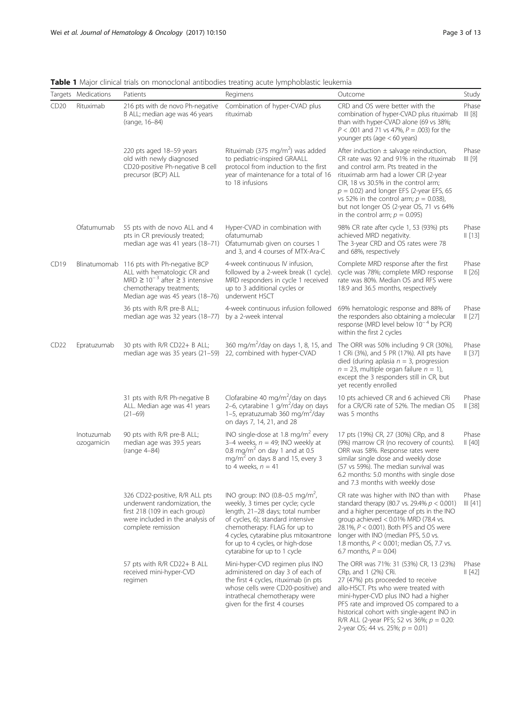|      | Targets Medications      | Patients                                                                                                                                                                               | Regimens                                                                                                                                                                                                                                                                                               | Outcome                                                                                                                                                                                                                                                                                                                                                                                   | Study                       |
|------|--------------------------|----------------------------------------------------------------------------------------------------------------------------------------------------------------------------------------|--------------------------------------------------------------------------------------------------------------------------------------------------------------------------------------------------------------------------------------------------------------------------------------------------------|-------------------------------------------------------------------------------------------------------------------------------------------------------------------------------------------------------------------------------------------------------------------------------------------------------------------------------------------------------------------------------------------|-----------------------------|
| CD20 | Rituximab                | 216 pts with de novo Ph-negative<br>B ALL; median age was 46 years<br>(range, 16-84)                                                                                                   | Combination of hyper-CVAD plus<br>rituximab                                                                                                                                                                                                                                                            | CRD and OS were better with the<br>combination of hyper-CVAD plus rituximab<br>than with hyper-CVAD alone (69 vs 38%;<br>$P < .001$ and 71 vs 47%, $P = .003$ ) for the<br>younger pts (age $< 60$ years)                                                                                                                                                                                 | Phase<br>III[8]             |
|      |                          | 220 pts aged 18-59 years<br>old with newly diagnosed<br>CD20-positive Ph-negative B cell<br>precursor (BCP) ALL                                                                        | Rituximab (375 mg/m <sup>2</sup> ) was added<br>to pediatric-inspired GRAALL<br>protocol from induction to the first<br>year of maintenance for a total of 16<br>to 18 infusions                                                                                                                       | After induction $\pm$ salvage reinduction,<br>CR rate was 92 and 91% in the rituximab<br>and control arm. Pts treated in the<br>rituximab arm had a lower CIR (2-year<br>CIR, 18 vs 30.5% in the control arm;<br>$p = 0.02$ ) and longer EFS (2-year EFS, 65<br>vs 52% in the control arm; $p = 0.038$ ),<br>but not longer OS (2-year OS, 71 vs 64%<br>in the control arm; $p = 0.095$ ) | Phase<br>III <sub>[9]</sub> |
|      | Ofatumumab               | 55 pts with de novo ALL and 4<br>pts in CR previously treated;<br>median age was 41 years (18-71)                                                                                      | Hyper-CVAD in combination with<br>ofatumumab<br>Ofatumumab given on courses 1<br>and 3, and 4 courses of MTX-Ara-C                                                                                                                                                                                     | 98% CR rate after cycle 1, 53 (93%) pts<br>achieved MRD negativity.<br>The 3-year CRD and OS rates were 78<br>and 68%, respectively                                                                                                                                                                                                                                                       | Phase<br>   [13]            |
| CD19 |                          | Blinatumomab 116 pts with Ph-negative BCP<br>ALL with hematologic CR and<br>MRD $\geq 10^{-3}$ after $\geq 3$ intensive<br>chemotherapy treatments;<br>Median age was 45 years (18-76) | 4-week continuous IV infusion,<br>followed by a 2-week break (1 cycle).<br>MRD responders in cycle 1 received<br>up to 3 additional cycles or<br>underwent HSCT                                                                                                                                        | Complete MRD response after the first<br>cycle was 78%; complete MRD response<br>rate was 80%. Median OS and RFS were<br>18.9 and 36.5 months, respectively                                                                                                                                                                                                                               | Phase<br>II [26]            |
|      |                          | 36 pts with R/R pre-B ALL;<br>median age was 32 years (18-77)                                                                                                                          | 4-week continuous infusion followed<br>by a 2-week interval                                                                                                                                                                                                                                            | 69% hematologic response and 88% of<br>the responders also obtaining a molecular<br>response (MRD level below $10^{-4}$ by PCR)<br>within the first 2 cycles                                                                                                                                                                                                                              | Phase<br>II[27]             |
| CD22 | Epratuzumab              | 30 pts with R/R CD22+ B ALL;<br>median age was 35 years (21-59)                                                                                                                        | 360 mg/m <sup>2</sup> /day on days 1, 8, 15, and<br>22, combined with hyper-CVAD                                                                                                                                                                                                                       | The ORR was 50% including 9 CR (30%),<br>1 CRi (3%), and 5 PR (17%). All pts have<br>died (during aplasia $n = 3$ , progression<br>$n = 23$ , multiple organ failure $n = 1$ ),<br>except the 3 responders still in CR, but<br>yet recently enrolled                                                                                                                                      | Phase<br>II [37]            |
|      |                          | 31 pts with R/R Ph-negative B<br>ALL. Median age was 41 years<br>$(21-69)$                                                                                                             | Clofarabine 40 mg/m <sup>2</sup> /day on days<br>2-6, cytarabine 1 $g/m2/day$ on days<br>1-5, epratuzumab 360 mg/m <sup>2</sup> /day<br>on days 7, 14, 21, and 28                                                                                                                                      | 10 pts achieved CR and 6 achieved CRi<br>for a CR/CRi rate of 52%. The median OS<br>was 5 months                                                                                                                                                                                                                                                                                          | Phase<br>II[38]             |
|      | Inotuzumab<br>ozogamicin | 90 pts with R/R pre-B ALL;<br>median age was 39.5 years<br>(range 4-84)                                                                                                                | INO single-dose at 1.8 mg/m <sup>2</sup> every<br>3-4 weeks, $n = 49$ ; INO weekly at<br>0.8 mg/m <sup>2</sup> on day 1 and at 0.5<br>mg/m <sup>2</sup> on days 8 and 15, every 3<br>to 4 weeks, $n = 41$                                                                                              | 17 pts (19%) CR, 27 (30%) CRp, and 8<br>(9%) marrow CR (no recovery of counts).<br>ORR was 58%. Response rates were<br>similar single dose and weekly dose<br>(57 vs 59%). The median survival was<br>6.2 months: 5.0 months with single dose<br>and 7.3 months with weekly dose                                                                                                          | Phase<br>  [40]             |
|      |                          | 326 CD22-positive, R/R ALL pts<br>underwent randomization, the<br>first 218 (109 in each group)<br>were included in the analysis of<br>complete remission                              | INO group: INO (0.8–0.5 mg/m <sup>2</sup> ,<br>weekly, 3 times per cycle; cycle<br>length, 21-28 days; total number<br>of cycles, 6); standard intensive<br>chemotherapy: FLAG for up to<br>4 cycles, cytarabine plus mitoxantrone<br>for up to 4 cycles, or high-dose<br>cytarabine for up to 1 cycle | CR rate was higher with INO than with<br>standard therapy (80.7 vs. 29.4% $p < 0.001$ )<br>and a higher percentage of pts in the INO<br>group achieved $< 0.01\%$ MRD (78.4 vs.<br>28.1%, P < 0.001). Both PFS and OS were<br>longer with INO (median PFS, 5.0 vs.<br>1.8 months, $P < 0.001$ ; median OS, 7.7 vs.<br>6.7 months, $P = 0.04$ )                                            | Phase<br>III [41]           |
|      |                          | 57 pts with R/R CD22+ B ALL<br>received mini-hyper-CVD<br>regimen                                                                                                                      | Mini-hyper-CVD regimen plus INO<br>administered on day 3 of each of<br>the first 4 cycles, rituximab (in pts<br>whose cells were CD20-positive) and<br>intrathecal chemotherapy were<br>given for the first 4 courses                                                                                  | The ORR was 71%: 31 (53%) CR, 13 (23%)<br>CRp, and 1 (2%) CRi.<br>27 (47%) pts proceeded to receive<br>allo-HSCT. Pts who were treated with<br>mini-hyper-CVD plus INO had a higher<br>PFS rate and improved OS compared to a<br>historical cohort with single-agent INO in<br>R/R ALL (2-year PFS; 52 vs 36%; $p = 0.20$ :<br>2-year OS; 44 vs. 25%; $p = 0.01$ )                        | Phase<br>II[42]             |

<span id="page-2-0"></span>Table 1 Major clinical trials on monoclonal antibodies treating acute lymphoblastic leukemia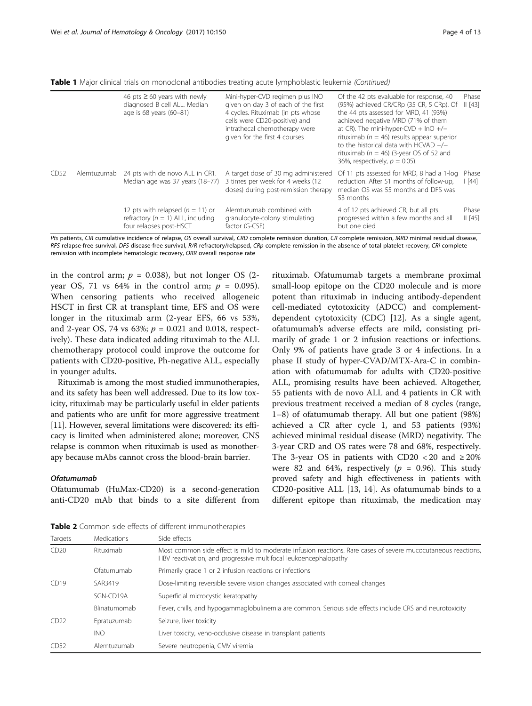|      |             | 46 pts $\geq$ 60 years with newly<br>diagnosed B cell ALL. Median<br>age is 68 years (60-81)           | Mini-hyper-CVD regimen plus INO<br>given on day 3 of each of the first<br>4 cycles. Rituximab (in pts whose<br>cells were CD20-positive) and<br>intrathecal chemotherapy were<br>given for the first 4 courses | Of the 42 pts evaluable for response, 40<br>(95%) achieved CR/CRp (35 CR, 5 CRp). Of<br>the 44 pts assessed for MRD, 41 (93%)<br>achieved negative MRD (71% of them<br>at CR). The mini-hyper-CVD + $InO + / -$<br>rituximab ( $n = 46$ ) results appear superior<br>to the historical data with $HCVAD +/-$<br>rituximab ( $n = 46$ ) (3-year OS of 52 and<br>36%, respectively, $p = 0.05$ ). | Phase<br>   [43] |
|------|-------------|--------------------------------------------------------------------------------------------------------|----------------------------------------------------------------------------------------------------------------------------------------------------------------------------------------------------------------|-------------------------------------------------------------------------------------------------------------------------------------------------------------------------------------------------------------------------------------------------------------------------------------------------------------------------------------------------------------------------------------------------|------------------|
| CD52 | Alemtuzumab | 24 pts with de novo ALL in CR1.<br>Median age was 37 years (18-77)                                     | A target dose of 30 mg administered<br>3 times per week for 4 weeks (12<br>doses) during post-remission therapy                                                                                                | Of 11 pts assessed for MRD, 8 had a 1-log<br>reduction. After 51 months of follow-up,<br>median OS was 55 months and DFS was<br>53 months                                                                                                                                                                                                                                                       | Phase<br>  [44]  |
|      |             | 12 pts with relapsed $(n = 11)$ or<br>refractory ( $n = 1$ ) ALL, including<br>four relapses post-HSCT | Alemtuzumab combined with<br>granulocyte-colony stimulating<br>factor (G-CSF)                                                                                                                                  | 4 of 12 pts achieved CR, but all pts<br>progressed within a few months and all<br>but one died                                                                                                                                                                                                                                                                                                  | Phase<br>   [45] |

<span id="page-3-0"></span>Table 1 Major clinical trials on monoclonal antibodies treating acute lymphoblastic leukemia (Continued)

Pts patients, CIR cumulative incidence of relapse, OS overall survival, CRD complete remission duration, CR complete remission, MRD minimal residual disease, RFS relapse-free survival, DFS disease-free survival, R/R refractory/relapsed, CRp complete remission in the absence of total platelet recovery, CRi complete remission with incomplete hematologic recovery, ORR overall response rate

in the control arm;  $p = 0.038$ ), but not longer OS (2year OS, 71 vs 64% in the control arm;  $p = 0.095$ ). When censoring patients who received allogeneic HSCT in first CR at transplant time, EFS and OS were longer in the rituximab arm (2-year EFS, 66 vs 53%, and 2-year OS, 74 vs 63%;  $p = 0.021$  and 0.018, respectively). These data indicated adding rituximab to the ALL chemotherapy protocol could improve the outcome for patients with CD20-positive, Ph-negative ALL, especially in younger adults.

Rituximab is among the most studied immunotherapies, and its safety has been well addressed. Due to its low toxicity, rituximab may be particularly useful in elder patients and patients who are unfit for more aggressive treatment [[11](#page-10-0)]. However, several limitations were discovered: its efficacy is limited when administered alone; moreover, CNS relapse is common when rituximab is used as monotherapy because mAbs cannot cross the blood-brain barrier.

#### Ofatumumab

Ofatumumab (HuMax-CD20) is a second-generation anti-CD20 mAb that binds to a site different from

rituximab. Ofatumumab targets a membrane proximal small-loop epitope on the CD20 molecule and is more potent than rituximab in inducing antibody-dependent cell-mediated cytotoxicity (ADCC) and complementdependent cytotoxicity (CDC) [\[12](#page-10-0)]. As a single agent, ofatumumab's adverse effects are mild, consisting primarily of grade 1 or 2 infusion reactions or infections. Only 9% of patients have grade 3 or 4 infections. In a phase II study of hyper-CVAD/MTX-Ara-C in combination with ofatumumab for adults with CD20-positive ALL, promising results have been achieved. Altogether, 55 patients with de novo ALL and 4 patients in CR with previous treatment received a median of 8 cycles (range, 1–8) of ofatumumab therapy. All but one patient (98%) achieved a CR after cycle 1, and 53 patients (93%) achieved minimal residual disease (MRD) negativity. The 3-year CRD and OS rates were 78 and 68%, respectively. The 3-year OS in patients with CD20 < 20 and  $\geq 20\%$ were 82 and 64%, respectively ( $p = 0.96$ ). This study proved safety and high effectiveness in patients with CD20-positive ALL [[13, 14](#page-10-0)]. As ofatumumab binds to a different epitope than rituximab, the medication may

Table 2 Common side effects of different immunotherapies

| Targets           | Medications  | Side effects                                                                                                                                                                     |
|-------------------|--------------|----------------------------------------------------------------------------------------------------------------------------------------------------------------------------------|
| CD20<br>Rituximab |              | Most common side effect is mild to moderate infusion reactions. Rare cases of severe mucocutaneous reactions<br>HBV reactivation, and progressive multifocal leukoencephalopathy |
|                   | Ofatumumab   | Primarily grade 1 or 2 infusion reactions or infections                                                                                                                          |
| CD19              | SAR3419      | Dose-limiting reversible severe vision changes associated with corneal changes                                                                                                   |
|                   | SGN-CD19A    | Superficial microcystic keratopathy                                                                                                                                              |
|                   | Blinatumomab | Fever, chills, and hypogammaglobulinemia are common. Serious side effects include CRS and neurotoxicity                                                                          |
| CD22              | Epratuzumab  | Seizure, liver toxicity                                                                                                                                                          |
|                   | <b>INO</b>   | Liver toxicity, veno-occlusive disease in transplant patients                                                                                                                    |
| CD52              | Alemtuzumab  | Severe neutropenia, CMV viremia                                                                                                                                                  |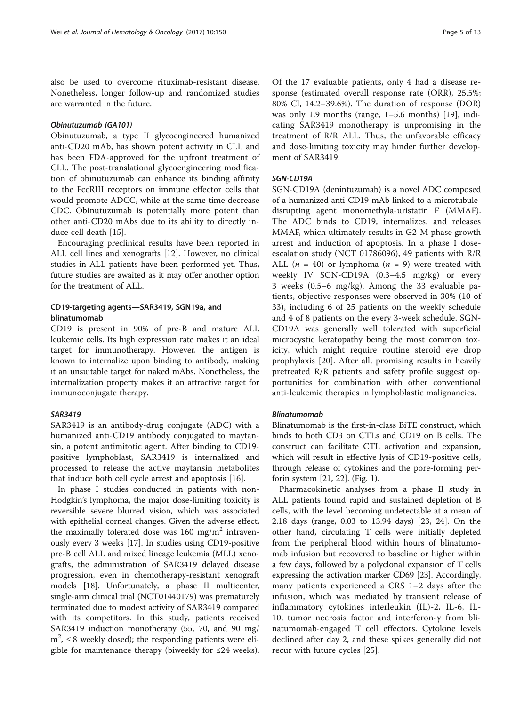also be used to overcome rituximab-resistant disease. Nonetheless, longer follow-up and randomized studies are warranted in the future.

#### Obinutuzumab (GA101)

Obinutuzumab, a type II glycoengineered humanized anti-CD20 mAb, has shown potent activity in CLL and has been FDA-approved for the upfront treatment of CLL. The post-translational glycoengineering modification of obinutuzumab can enhance its binding affinity to the FccRIII receptors on immune effector cells that would promote ADCC, while at the same time decrease CDC. Obinutuzumab is potentially more potent than other anti-CD20 mAbs due to its ability to directly induce cell death [[15\]](#page-10-0).

Encouraging preclinical results have been reported in ALL cell lines and xenografts [[12\]](#page-10-0). However, no clinical studies in ALL patients have been performed yet. Thus, future studies are awaited as it may offer another option for the treatment of ALL.

# CD19-targeting agents—SAR3419, SGN19a, and blinatumomab

CD19 is present in 90% of pre-B and mature ALL leukemic cells. Its high expression rate makes it an ideal target for immunotherapy. However, the antigen is known to internalize upon binding to antibody, making it an unsuitable target for naked mAbs. Nonetheless, the internalization property makes it an attractive target for immunoconjugate therapy.

## SAR3419

SAR3419 is an antibody-drug conjugate (ADC) with a humanized anti-CD19 antibody conjugated to maytansin, a potent antimitotic agent. After binding to CD19 positive lymphoblast, SAR3419 is internalized and processed to release the active maytansin metabolites that induce both cell cycle arrest and apoptosis [[16\]](#page-10-0).

In phase I studies conducted in patients with non-Hodgkin's lymphoma, the major dose-limiting toxicity is reversible severe blurred vision, which was associated with epithelial corneal changes. Given the adverse effect, the maximally tolerated dose was  $160 \text{ mg/m}^2$  intravenously every 3 weeks [[17\]](#page-10-0). In studies using CD19-positive pre-B cell ALL and mixed lineage leukemia (MLL) xenografts, the administration of SAR3419 delayed disease progression, even in chemotherapy-resistant xenograft models [\[18](#page-10-0)]. Unfortunately, a phase II multicenter, single-arm clinical trial (NCT01440179) was prematurely terminated due to modest activity of SAR3419 compared with its competitors. In this study, patients received SAR3419 induction monotherapy (55, 70, and 90 mg/  $m^2$ ,  $\leq$  8 weekly dosed); the responding patients were eligible for maintenance therapy (biweekly for ≤24 weeks).

Of the 17 evaluable patients, only 4 had a disease response (estimated overall response rate (ORR), 25.5%; 80% CI, 14.2–39.6%). The duration of response (DOR) was only 1.9 months (range, 1–5.6 months) [\[19](#page-10-0)], indicating SAR3419 monotherapy is unpromising in the treatment of R/R ALL. Thus, the unfavorable efficacy and dose-limiting toxicity may hinder further development of SAR3419.

# SGN-CD19A

SGN-CD19A (denintuzumab) is a novel ADC composed of a humanized anti-CD19 mAb linked to a microtubuledisrupting agent monomethyla-uristatin F (MMAF). The ADC binds to CD19, internalizes, and releases MMAF, which ultimately results in G2-M phase growth arrest and induction of apoptosis. In a phase I doseescalation study (NCT 01786096), 49 patients with R/R ALL ( $n = 40$ ) or lymphoma ( $n = 9$ ) were treated with weekly IV SGN-CD19A (0.3–4.5 mg/kg) or every 3 weeks (0.5–6 mg/kg). Among the 33 evaluable patients, objective responses were observed in 30% (10 of 33), including 6 of 25 patients on the weekly schedule and 4 of 8 patients on the every 3-week schedule. SGN-CD19A was generally well tolerated with superficial microcystic keratopathy being the most common toxicity, which might require routine steroid eye drop prophylaxis [[20](#page-10-0)]. After all, promising results in heavily pretreated R/R patients and safety profile suggest opportunities for combination with other conventional anti-leukemic therapies in lymphoblastic malignancies.

#### Blinatumomab

Blinatumomab is the first-in-class BiTE construct, which binds to both CD3 on CTLs and CD19 on B cells. The construct can facilitate CTL activation and expansion, which will result in effective lysis of CD19-positive cells, through release of cytokines and the pore-forming perforin system [\[21, 22\]](#page-10-0). (Fig. [1\)](#page-1-0).

Pharmacokinetic analyses from a phase II study in ALL patients found rapid and sustained depletion of B cells, with the level becoming undetectable at a mean of 2.18 days (range, 0.03 to 13.94 days) [\[23](#page-10-0), [24\]](#page-10-0). On the other hand, circulating T cells were initially depleted from the peripheral blood within hours of blinatumomab infusion but recovered to baseline or higher within a few days, followed by a polyclonal expansion of T cells expressing the activation marker CD69 [\[23\]](#page-10-0). Accordingly, many patients experienced a CRS 1–2 days after the infusion, which was mediated by transient release of inflammatory cytokines interleukin (IL)-2, IL-6, IL-10, tumor necrosis factor and interferon-γ from blinatumomab-engaged T cell effectors. Cytokine levels declined after day 2, and these spikes generally did not recur with future cycles [[25\]](#page-10-0).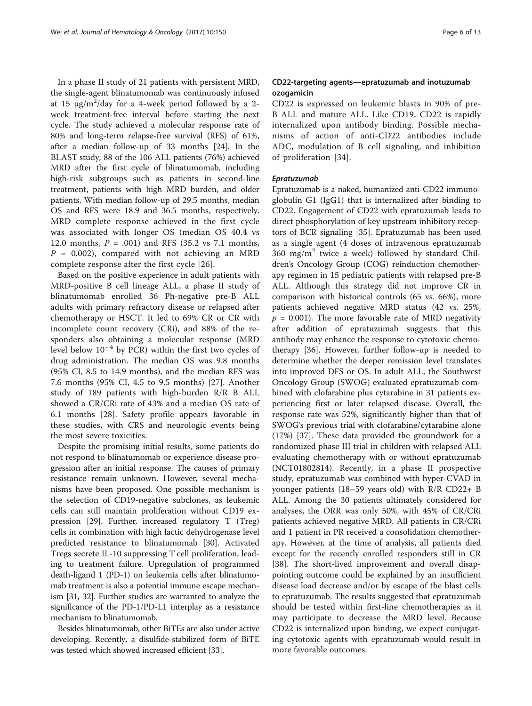In a phase II study of 21 patients with persistent MRD, the single-agent blinatumomab was continuously infused at 15  $\mu$ g/m<sup>2</sup>/day for a 4-week period followed by a 2week treatment-free interval before starting the next cycle. The study achieved a molecular response rate of 80% and long-term relapse-free survival (RFS) of 61%, after a median follow-up of 33 months [\[24\]](#page-10-0). In the BLAST study, 88 of the 106 ALL patients (76%) achieved MRD after the first cycle of blinatumomab, including high-risk subgroups such as patients in second-line treatment, patients with high MRD burden, and older patients. With median follow-up of 29.5 months, median OS and RFS were 18.9 and 36.5 months, respectively. MRD complete response achieved in the first cycle was associated with longer OS (median OS 40.4 vs 12.0 months,  $P = .001$ ) and RFS (35.2 vs 7.1 months,  $P = 0.002$ , compared with not achieving an MRD complete response after the first cycle [[26](#page-10-0)].

Based on the positive experience in adult patients with MRD-positive B cell lineage ALL, a phase II study of blinatumomab enrolled 36 Ph-negative pre-B ALL adults with primary refractory disease or relapsed after chemotherapy or HSCT. It led to 69% CR or CR with incomplete count recovery (CRi), and 88% of the responders also obtaining a molecular response (MRD level below  $10^{-4}$  by PCR) within the first two cycles of drug administration. The median OS was 9.8 months (95% CI, 8.5 to 14.9 months), and the median RFS was 7.6 months (95% CI, 4.5 to 9.5 months) [\[27](#page-10-0)]. Another study of 189 patients with high-burden R/R B ALL showed a CR/CRi rate of 43% and a median OS rate of 6.1 months [[28\]](#page-10-0). Safety profile appears favorable in these studies, with CRS and neurologic events being the most severe toxicities.

Despite the promising initial results, some patients do not respond to blinatumomab or experience disease progression after an initial response. The causes of primary resistance remain unknown. However, several mechanisms have been proposed. One possible mechanism is the selection of CD19-negative subclones, as leukemic cells can still maintain proliferation without CD19 expression [\[29\]](#page-10-0). Further, increased regulatory T (Treg) cells in combination with high lactic dehydrogenase level predicted resistance to blinatumomab [[30](#page-11-0)]. Activated Tregs secrete IL-10 suppressing T cell proliferation, leading to treatment failure. Upregulation of programmed death-ligand 1 (PD-1) on leukemia cells after blinatumomab treatment is also a potential immune escape mechanism [\[31, 32\]](#page-11-0). Further studies are warranted to analyze the significance of the PD-1/PD-L1 interplay as a resistance mechanism to blinatumomab.

Besides blinatumomab, other BiTEs are also under active developing. Recently, a disulfide-stabilized form of BiTE was tested which showed increased efficient [\[33\]](#page-11-0).

# CD22-targeting agents—epratuzumab and inotuzumab ozogamicin

CD22 is expressed on leukemic blasts in 90% of pre-B ALL and mature ALL. Like CD19, CD22 is rapidly internalized upon antibody binding. Possible mechanisms of action of anti-CD22 antibodies include ADC, modulation of B cell signaling, and inhibition of proliferation [\[34\]](#page-11-0).

# Epratuzumab

Epratuzumab is a naked, humanized anti-CD22 immunoglobulin G1 (IgG1) that is internalized after binding to CD22. Engagement of CD22 with epratuzumab leads to direct phosphorylation of key upstream inhibitory receptors of BCR signaling [[35\]](#page-11-0). Epratuzumab has been used as a single agent (4 doses of intravenous epratuzumab  $360 \text{ mg/m}^2$  twice a week) followed by standard Children's Oncology Group (COG) reinduction chemotherapy regimen in 15 pediatric patients with relapsed pre-B ALL. Although this strategy did not improve CR in comparison with historical controls (65 vs. 66%), more patients achieved negative MRD status (42 vs. 25%,  $p = 0.001$ ). The more favorable rate of MRD negativity after addition of epratuzumab suggests that this antibody may enhance the response to cytotoxic chemotherapy [[36\]](#page-11-0). However, further follow-up is needed to determine whether the deeper remission level translates into improved DFS or OS. In adult ALL, the Southwest Oncology Group (SWOG) evaluated epratuzumab combined with clofarabine plus cytarabine in 31 patients experiencing first or later relapsed disease. Overall, the response rate was 52%, significantly higher than that of SWOG's previous trial with clofarabine/cytarabine alone (17%) [\[37](#page-11-0)]. These data provided the groundwork for a randomized phase III trial in children with relapsed ALL evaluating chemotherapy with or without epratuzumab (NCT01802814). Recently, in a phase II prospective study, epratuzumab was combined with hyper-CVAD in younger patients (18–59 years old) with R/R CD22+ B ALL. Among the 30 patients ultimately considered for analyses, the ORR was only 50%, with 45% of CR/CRi patients achieved negative MRD. All patients in CR/CRi and 1 patient in PR received a consolidation chemotherapy. However, at the time of analysis, all patients died except for the recently enrolled responders still in CR [[38\]](#page-11-0). The short-lived improvement and overall disappointing outcome could be explained by an insufficient disease load decrease and/or by escape of the blast cells to epratuzumab. The results suggested that epratuzumab should be tested within first-line chemotherapies as it may participate to decrease the MRD level. Because CD22 is internalized upon binding, we expect conjugating cytotoxic agents with epratuzumab would result in more favorable outcomes.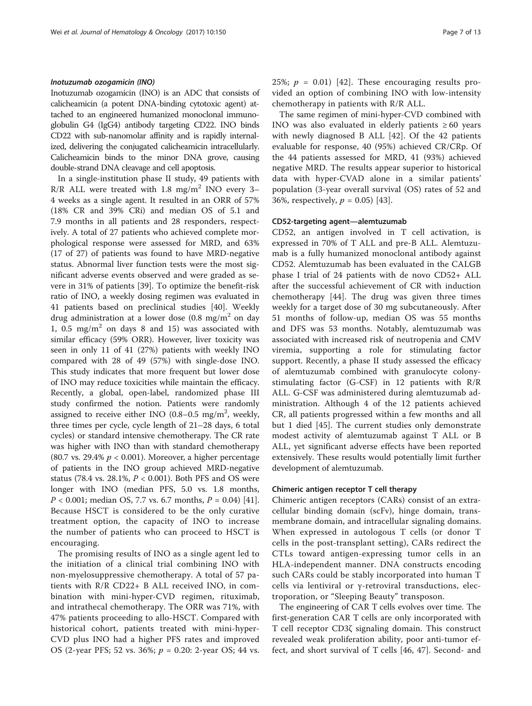#### Inotuzumab ozogamicin (INO)

Inotuzumab ozogamicin (INO) is an ADC that consists of calicheamicin (a potent DNA-binding cytotoxic agent) attached to an engineered humanized monoclonal immunoglobulin G4 (IgG4) antibody targeting CD22. INO binds CD22 with sub-nanomolar affinity and is rapidly internalized, delivering the conjugated calicheamicin intracellularly. Calicheamicin binds to the minor DNA grove, causing double-strand DNA cleavage and cell apoptosis.

In a single-institution phase II study, 49 patients with  $R/R$  ALL were treated with 1.8 mg/m<sup>2</sup> INO every 3-4 weeks as a single agent. It resulted in an ORR of 57% (18% CR and 39% CRi) and median OS of 5.1 and 7.9 months in all patients and 28 responders, respectively. A total of 27 patients who achieved complete morphological response were assessed for MRD, and 63% (17 of 27) of patients was found to have MRD-negative status. Abnormal liver function tests were the most significant adverse events observed and were graded as severe in 31% of patients [[39\]](#page-11-0). To optimize the benefit-risk ratio of INO, a weekly dosing regimen was evaluated in 41 patients based on preclinical studies [\[40](#page-11-0)]. Weekly drug administration at a lower dose  $(0.8 \text{ mg/m}^2 \text{ on day})$ 1, 0.5  $mg/m<sup>2</sup>$  on days 8 and 15) was associated with similar efficacy (59% ORR). However, liver toxicity was seen in only 11 of 41 (27%) patients with weekly INO compared with 28 of 49 (57%) with single-dose INO. This study indicates that more frequent but lower dose of INO may reduce toxicities while maintain the efficacy. Recently, a global, open-label, randomized phase III study confirmed the notion. Patients were randomly assigned to receive either INO (0.8–0.5 mg/m<sup>2</sup>, weekly, three times per cycle, cycle length of 21–28 days, 6 total cycles) or standard intensive chemotherapy. The CR rate was higher with INO than with standard chemotherapy (80.7 vs. 29.4%  $p < 0.001$ ). Moreover, a higher percentage of patients in the INO group achieved MRD-negative status (78.4 vs. 28.1%,  $P < 0.001$ ). Both PFS and OS were longer with INO (median PFS, 5.0 vs. 1.8 months,  $P < 0.001$ ; median OS, 7.7 vs. 6.7 months,  $P = 0.04$ ) [\[41](#page-11-0)]. Because HSCT is considered to be the only curative treatment option, the capacity of INO to increase the number of patients who can proceed to HSCT is encouraging.

The promising results of INO as a single agent led to the initiation of a clinical trial combining INO with non-myelosuppressive chemotherapy. A total of 57 patients with R/R CD22+ B ALL received INO, in combination with mini-hyper-CVD regimen, rituximab, and intrathecal chemotherapy. The ORR was 71%, with 47% patients proceeding to allo-HSCT. Compared with historical cohort, patients treated with mini-hyper-CVD plus INO had a higher PFS rates and improved OS (2-year PFS; 52 vs. 36%;  $p = 0.20$ : 2-year OS; 44 vs. 25%;  $p = 0.01$  [[42\]](#page-11-0). These encouraging results provided an option of combining INO with low-intensity chemotherapy in patients with R/R ALL.

The same regimen of mini-hyper-CVD combined with INO was also evaluated in elderly patients ≥ 60 years with newly diagnosed B ALL [\[42](#page-11-0)]. Of the 42 patients evaluable for response, 40 (95%) achieved CR/CRp. Of the 44 patients assessed for MRD, 41 (93%) achieved negative MRD. The results appear superior to historical data with hyper-CVAD alone in a similar patients' population (3-year overall survival (OS) rates of 52 and 36%, respectively,  $p = 0.05$  [\[43](#page-11-0)].

#### CD52-targeting agent—alemtuzumab

CD52, an antigen involved in T cell activation, is expressed in 70% of T ALL and pre-B ALL. Alemtuzumab is a fully humanized monoclonal antibody against CD52. Alemtuzumab has been evaluated in the CALGB phase I trial of 24 patients with de novo CD52+ ALL after the successful achievement of CR with induction chemotherapy [[44\]](#page-11-0). The drug was given three times weekly for a target dose of 30 mg subcutaneously. After 51 months of follow-up, median OS was 55 months and DFS was 53 months. Notably, alemtuzumab was associated with increased risk of neutropenia and CMV viremia, supporting a role for stimulating factor support. Recently, a phase II study assessed the efficacy of alemtuzumab combined with granulocyte colonystimulating factor (G-CSF) in 12 patients with R/R ALL. G-CSF was administered during alemtuzumab administration. Although 4 of the 12 patients achieved CR, all patients progressed within a few months and all but 1 died [[45\]](#page-11-0). The current studies only demonstrate modest activity of alemtuzumab against T ALL or B ALL, yet significant adverse effects have been reported extensively. These results would potentially limit further development of alemtuzumab.

#### Chimeric antigen receptor T cell therapy

Chimeric antigen receptors (CARs) consist of an extracellular binding domain (scFv), hinge domain, transmembrane domain, and intracellular signaling domains. When expressed in autologous T cells (or donor T cells in the post-transplant setting), CARs redirect the CTLs toward antigen-expressing tumor cells in an HLA-independent manner. DNA constructs encoding such CARs could be stably incorporated into human T cells via lentiviral or γ-retroviral transductions, electroporation, or "Sleeping Beauty" transposon.

The engineering of CAR T cells evolves over time. The first-generation CAR T cells are only incorporated with T cell receptor CD3ζ signaling domain. This construct revealed weak proliferation ability, poor anti-tumor effect, and short survival of T cells [\[46](#page-11-0), [47\]](#page-11-0). Second- and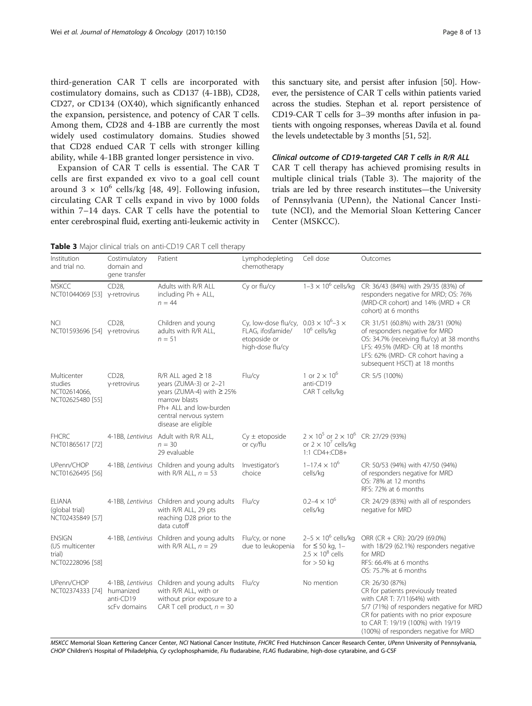third-generation CAR T cells are incorporated with costimulatory domains, such as CD137 (4-1BB), CD28, CD27, or CD134 (OX40), which significantly enhanced the expansion, persistence, and potency of CAR T cells. Among them, CD28 and 4-1BB are currently the most widely used costimulatory domains. Studies showed that CD28 endued CAR T cells with stronger killing ability, while 4-1BB granted longer persistence in vivo.

Expansion of CAR T cells is essential. The CAR T cells are first expanded ex vivo to a goal cell count around  $3 \times 10^6$  cells/kg [\[48](#page-11-0), [49](#page-11-0)]. Following infusion, circulating CAR T cells expand in vivo by 1000 folds within 7–14 days. CAR T cells have the potential to enter cerebrospinal fluid, exerting anti-leukemic activity in

this sanctuary site, and persist after infusion [[50](#page-11-0)]. However, the persistence of CAR T cells within patients varied across the studies. Stephan et al. report persistence of CD19-CAR T cells for 3–39 months after infusion in patients with ongoing responses, whereas Davila et al. found the levels undetectable by 3 months [[51](#page-11-0), [52\]](#page-11-0).

# Clinical outcome of CD19-targeted CAR T cells in R/R ALL

CAR T cell therapy has achieved promising results in multiple clinical trials (Table 3). The majority of the trials are led by three research institutes—the University of Pennsylvania (UPenn), the National Cancer Institute (NCI), and the Memorial Sloan Kettering Cancer Center (MSKCC).

| Institution<br>and trial no.                                   | Costimulatory<br>domain and<br>gene transfer | Patient                                                                                                                                                                      | Lymphodepleting<br>chemotherapy                                               | Cell dose                                                                                          | Outcomes                                                                                                                                                                                                                                                |
|----------------------------------------------------------------|----------------------------------------------|------------------------------------------------------------------------------------------------------------------------------------------------------------------------------|-------------------------------------------------------------------------------|----------------------------------------------------------------------------------------------------|---------------------------------------------------------------------------------------------------------------------------------------------------------------------------------------------------------------------------------------------------------|
| <b>MSKCC</b><br>NCT01044069 [53] y-retrovirus                  | CD28,                                        | Adults with R/R ALL<br>including Ph + ALL,<br>$n = 44$                                                                                                                       | Cy or flu/cy                                                                  | $1-3 \times 10^6$ cells/kg                                                                         | CR: 36/43 (84%) with 29/35 (83%) of<br>responders negative for MRD; OS: 76%<br>(MRD-CR cohort) and $14\%$ (MRD + CR<br>cohort) at 6 months                                                                                                              |
| <b>NCI</b><br>NCT01593696 [54] y-retrovirus                    | CD28,                                        | Children and young<br>adults with R/R ALL,<br>$n = 51$                                                                                                                       | Cy, low-dose flu/cy,<br>FLAG, ifosfamide/<br>etoposide or<br>high-dose flu/cy | $0.03 \times 10^{6} - 3 \times$<br>$10^6$ cells/kg                                                 | CR: 31/51 (60.8%) with 28/31 (90%)<br>of responders negative for MRD<br>OS: 34.7% (receiving flu/cy) at 38 months<br>LFS: 49.5% (MRD- CR) at 18 months<br>LFS: 62% (MRD- CR cohort having a<br>subsequent HSCT) at 18 months                            |
| Multicenter<br>studies<br>NCT02614066,<br>NCT02625480 [55]     | CD28,<br>y-retrovirus                        | $R/R$ ALL aged $\geq$ 18<br>years (ZUMA-3) or 2-21<br>years (ZUMA-4) with ≥ 25%<br>marrow blasts<br>Ph+ ALL and low-burden<br>central nervous system<br>disease are eligible | Flu/cy                                                                        | 1 or $2 \times 10^{6}$<br>anti-CD19<br>CAR T cells/kg                                              | CR: 5/5 (100%)                                                                                                                                                                                                                                          |
| <b>FHCRC</b><br>NCT01865617 [72]                               |                                              | 4-1BB, Lentivirus Adult with R/R ALL,<br>$n = 30$<br>29 evaluable                                                                                                            | $Cy \pm etoposide$<br>or cy/flu                                               | $2 \times 10^5$ or $2 \times 10^6$ CR: 27/29 (93%)<br>or $2 \times 10^7$ cells/kg<br>1:1 CD4+:CD8+ |                                                                                                                                                                                                                                                         |
| UPenn/CHOP<br>NCT01626495 [56]                                 |                                              | 4-1BB, Lentivirus Children and young adults<br>with R/R ALL, $n = 53$                                                                                                        | Investigator's<br>choice                                                      | $1 - 17.4 \times 10^{6}$<br>cells/kg                                                               | CR: 50/53 (94%) with 47/50 (94%)<br>of responders negative for MRD<br>OS: 78% at 12 months<br>RFS: 72% at 6 months                                                                                                                                      |
| <b>ELIANA</b><br>(global trial)<br>NCT02435849 [57]            |                                              | 4-1BB, Lentivirus Children and young adults<br>with R/R ALL, 29 pts<br>reaching D28 prior to the<br>data cutoff                                                              | Flu/cy                                                                        | $0.2 - 4 \times 10^{6}$<br>cells/kg                                                                | CR: 24/29 (83%) with all of responders<br>negative for MRD                                                                                                                                                                                              |
| <b>ENSIGN</b><br>(US multicenter<br>trial)<br>NCT02228096 [58] |                                              | 4-1BB, Lentivirus Children and young adults<br>with R/R ALL, $n = 29$                                                                                                        | Flu/cy, or none<br>due to leukopenia                                          | $2-5 \times 10^6$ cells/kg<br>for $\leq$ 50 kg, 1-<br>$2.5 \times 10^8$ cells<br>for $> 50$ kg     | ORR (CR + CRi): 20/29 (69.0%)<br>with 18/29 (62.1%) responders negative<br>for MRD<br>RFS: 66.4% at 6 months<br>OS: 75.7% at 6 months                                                                                                                   |
| UPenn/CHOP<br>NCT02374333 [74]                                 | humanized<br>anti-CD19<br>scFv domains       | 4-1BB, Lentivirus Children and young adults Flu/cy<br>with R/R ALL, with or<br>without prior exposure to a<br>CAR T cell product, $n = 30$                                   |                                                                               | No mention                                                                                         | CR: 26/30 (87%)<br>CR for patients previously treated<br>with CAR T: 7/11(64%) with<br>5/7 (71%) of responders negative for MRD<br>CR for patients with no prior exposure<br>to CAR T: 19/19 (100%) with 19/19<br>(100%) of responders negative for MRD |

Table 3 Major clinical trials on anti-CD19 CAR T cell therapy

MSKCC Memorial Sloan Kettering Cancer Center, NCI National Cancer Institute, FHCRC Fred Hutchinson Cancer Research Center, UPenn University of Pennsylvania, CHOP Children's Hospital of Philadelphia, Cy cyclophosphamide, Flu fludarabine, FLAG fludarabine, high-dose cytarabine, and G-CSF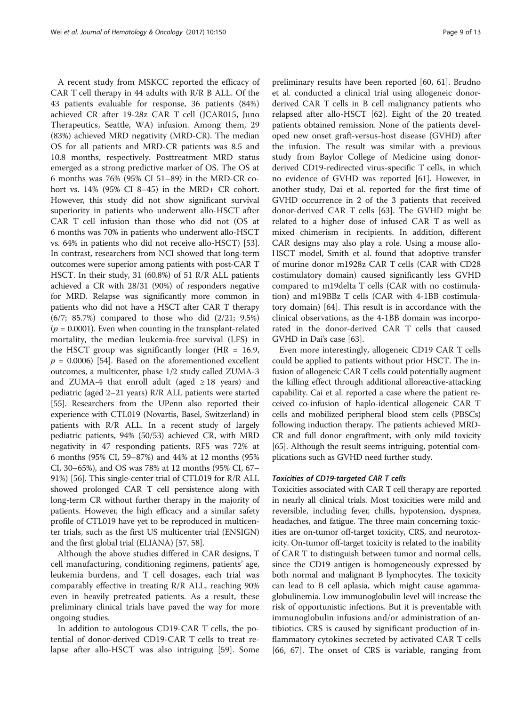A recent study from MSKCC reported the efficacy of CAR T cell therapy in 44 adults with R/R B ALL. Of the 43 patients evaluable for response, 36 patients (84%) achieved CR after 19-28z CAR T cell (JCAR015, Juno Therapeutics, Seattle, WA) infusion. Among them, 29 (83%) achieved MRD negativity (MRD-CR). The median OS for all patients and MRD-CR patients was 8.5 and 10.8 months, respectively. Posttreatment MRD status emerged as a strong predictive marker of OS. The OS at 6 months was 76% (95% CI 51–89) in the MRD-CR cohort vs. 14% (95% CI 8–45) in the MRD+ CR cohort. However, this study did not show significant survival superiority in patients who underwent allo-HSCT after CAR T cell infusion than those who did not (OS at 6 months was 70% in patients who underwent allo-HSCT vs. 64% in patients who did not receive allo-HSCT) [[53](#page-11-0)]. In contrast, researchers from NCI showed that long-term outcomes were superior among patients with post-CAR T HSCT. In their study, 31 (60.8%) of 51 R/R ALL patients achieved a CR with 28/31 (90%) of responders negative for MRD. Relapse was significantly more common in patients who did not have a HSCT after CAR T therapy (6/7; 85.7%) compared to those who did (2/21; 9.5%)  $(p = 0.0001)$ . Even when counting in the transplant-related mortality, the median leukemia-free survival (LFS) in the HSCT group was significantly longer ( $HR = 16.9$ ,  $p = 0.0006$  [\[54](#page-11-0)]. Based on the aforementioned excellent outcomes, a multicenter, phase 1/2 study called ZUMA-3 and ZUMA-4 that enroll adult (aged  $\geq$  18 years) and pediatric (aged 2–21 years) R/R ALL patients were started [[55](#page-11-0)]. Researchers from the UPenn also reported their experience with CTL019 (Novartis, Basel, Switzerland) in patients with R/R ALL. In a recent study of largely pediatric patients, 94% (50/53) achieved CR, with MRD negativity in 47 responding patients. RFS was 72% at 6 months (95% CI, 59–87%) and 44% at 12 months (95% CI, 30–65%), and OS was 78% at 12 months (95% CI, 67– 91%) [\[56\]](#page-11-0). This single-center trial of CTL019 for R/R ALL showed prolonged CAR T cell persistence along with long-term CR without further therapy in the majority of patients. However, the high efficacy and a similar safety profile of CTL019 have yet to be reproduced in multicenter trials, such as the first US multicenter trial (ENSIGN) and the first global trial (ELIANA) [[57](#page-11-0), [58\]](#page-11-0).

Although the above studies differed in CAR designs, T cell manufacturing, conditioning regimens, patients' age, leukemia burdens, and T cell dosages, each trial was comparably effective in treating R/R ALL, reaching 90% even in heavily pretreated patients. As a result, these preliminary clinical trials have paved the way for more ongoing studies.

In addition to autologous CD19-CAR T cells, the potential of donor-derived CD19-CAR T cells to treat relapse after allo-HSCT was also intriguing [\[59\]](#page-11-0). Some

preliminary results have been reported [\[60](#page-11-0), [61\]](#page-11-0). [Brudno](http://www.ncbi.nlm.nih.gov/pubmed/?term=Brudno%20JN%5bAuthor%5d&cauthor=true&cauthor_uid=26811520) et al. conducted a clinical trial using allogeneic donorderived CAR T cells in B cell malignancy patients who relapsed after allo-HSCT [[62\]](#page-11-0). Eight of the 20 treated patients obtained remission. None of the patients developed new onset graft-versus-host disease (GVHD) after the infusion. The result was similar with a previous study from Baylor College of Medicine using donorderived CD19-redirected virus-specific T cells, in which no evidence of GVHD was reported [\[61\]](#page-11-0). However, in another study, Dai et al. reported for the first time of GVHD occurrence in 2 of the 3 patients that received donor-derived CAR T cells [[63\]](#page-11-0). The GVHD might be related to a higher dose of infused CAR T as well as mixed chimerism in recipients. In addition, different CAR designs may also play a role. Using a mouse allo-HSCT model, Smith et al. found that adoptive transfer of murine donor m1928z CAR T cells (CAR with CD28 costimulatory domain) caused significantly less GVHD compared to m19delta T cells (CAR with no costimulation) and m19BBz T cells (CAR with 4-1BB costimulatory domain) [[64\]](#page-11-0). This result is in accordance with the clinical observations, as the 4-1BB domain was incorporated in the donor-derived CAR T cells that caused GVHD in Dai's case [[63\]](#page-11-0).

Even more interestingly, allogeneic CD19 CAR T cells could be applied to patients without prior HSCT. The infusion of allogeneic CAR T cells could potentially augment the killing effect through additional alloreactive-attacking capability. Cai et al. reported a case where the patient received co-infusion of haplo-identical allogeneic CAR T cells and mobilized peripheral blood stem cells (PBSCs) following induction therapy. The patients achieved MRD-CR and full donor engraftment, with only mild toxicity [[65](#page-11-0)]. Although the result seems intriguing, potential complications such as GVHD need further study.

# Toxicities of CD19-targeted CAR T cells

Toxicities associated with CAR T cell therapy are reported in nearly all clinical trials. Most toxicities were mild and reversible, including fever, chills, hypotension, dyspnea, headaches, and fatigue. The three main concerning toxicities are on-tumor off-target toxicity, CRS, and neurotoxicity. On-tumor off-target toxicity is related to the inability of CAR T to distinguish between tumor and normal cells, since the CD19 antigen is homogeneously expressed by both normal and malignant B lymphocytes. The toxicity can lead to B cell aplasia, which might cause agammaglobulinemia. Low immunoglobulin level will increase the risk of opportunistic infections. But it is preventable with immunoglobulin infusions and/or administration of antibiotics. CRS is caused by significant production of inflammatory cytokines secreted by activated CAR T cells [[66](#page-11-0), [67](#page-11-0)]. The onset of CRS is variable, ranging from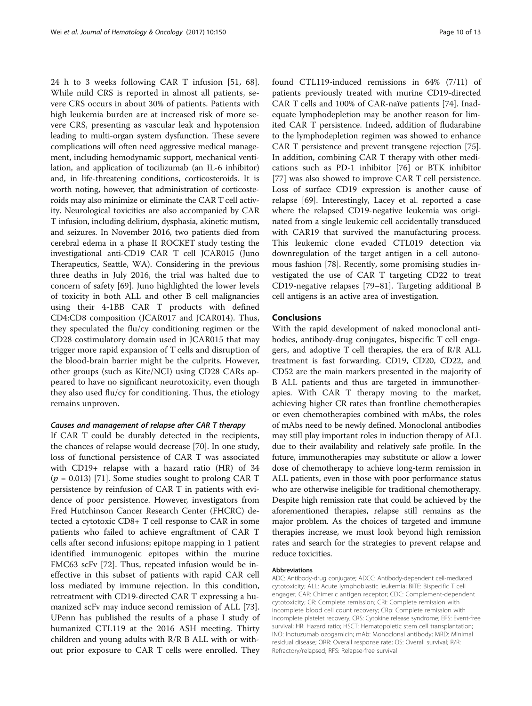24 h to 3 weeks following CAR T infusion [[51, 68](#page-11-0)]. While mild CRS is reported in almost all patients, severe CRS occurs in about 30% of patients. Patients with high leukemia burden are at increased risk of more severe CRS, presenting as vascular leak and hypotension leading to multi-organ system dysfunction. These severe complications will often need aggressive medical management, including hemodynamic support, mechanical ventilation, and application of tocilizumab (an IL-6 inhibitor) and, in life-threatening conditions, corticosteroids. It is worth noting, however, that administration of corticosteroids may also minimize or eliminate the CAR T cell activity. Neurological toxicities are also accompanied by CAR T infusion, including delirium, dysphasia, akinetic mutism, and seizures. In November 2016, two patients died from cerebral edema in a phase II ROCKET study testing the investigational anti-CD19 CAR T cell JCAR015 (Juno Therapeutics, Seattle, WA). Considering in the previous three deaths in July 2016, the trial was halted due to concern of safety [[69](#page-12-0)]. Juno highlighted the lower levels of toxicity in both ALL and other B cell malignancies using their 4-1BB CAR T products with defined CD4:CD8 composition (JCAR017 and JCAR014). Thus, they speculated the flu/cy conditioning regimen or the CD28 costimulatory domain used in JCAR015 that may trigger more rapid expansion of T cells and disruption of the blood-brain barrier might be the culprits. However, other groups (such as Kite/NCI) using CD28 CARs appeared to have no significant neurotoxicity, even though they also used flu/cy for conditioning. Thus, the etiology remains unproven.

#### Causes and management of relapse after CAR T therapy

If CAR T could be durably detected in the recipients, the chances of relapse would decrease [[70\]](#page-12-0). In one study, loss of functional persistence of CAR T was associated with CD19+ relapse with a hazard ratio (HR) of 34  $(p = 0.013)$  [\[71](#page-12-0)]. Some studies sought to prolong CAR T persistence by reinfusion of CAR T in patients with evidence of poor persistence. However, investigators from [Fred Hutchinson Cancer Research Center \(FHCRC\)](http://www.baidu.com/link?url=-cOz8S0zsosor91NxCnytpXDW-_f5PlfudjjkGrNJf7) detected a cytotoxic CD8+ T cell response to CAR in some patients who failed to achieve engraftment of CAR T cells after second infusions; epitope mapping in 1 patient identified immunogenic epitopes within the murine FMC63 scFv [[72\]](#page-12-0). Thus, repeated infusion would be ineffective in this subset of patients with rapid CAR cell loss mediated by immune rejection. In this condition, retreatment with CD19-directed CAR T expressing a humanized scFv may induce second remission of ALL [\[73](#page-12-0)]. UPenn has published the results of a phase I study of humanized CTL119 at the 2016 ASH meeting. Thirty children and young adults with R/R B ALL with or without prior exposure to CAR T cells were enrolled. They found CTL119-induced remissions in 64% (7/11) of patients previously treated with murine CD19-directed CAR T cells and 100% of CAR-naïve patients [\[74](#page-12-0)]. Inadequate lymphodepletion may be another reason for limited CAR T persistence. Indeed, addition of fludarabine to the lymphodepletion regimen was showed to enhance CAR T persistence and prevent transgene rejection [\[75](#page-12-0)]. In addition, combining CAR T therapy with other medications such as PD-1 inhibitor [[76](#page-12-0)] or BTK inhibitor [[77\]](#page-12-0) was also showed to improve CAR T cell persistence. Loss of surface CD19 expression is another cause of relapse [\[69\]](#page-12-0). Interestingly, Lacey et al. reported a case where the relapsed CD19-negative leukemia was originated from a single leukemic cell accidentally transduced with CAR19 that survived the manufacturing process. This leukemic clone evaded CTL019 detection via downregulation of the target antigen in a cell autonomous fashion [[78\]](#page-12-0). Recently, some promising studies investigated the use of CAR T targeting CD22 to treat CD19-negative relapses [[79](#page-12-0)–[81](#page-12-0)]. Targeting additional B cell antigens is an active area of investigation.

## **Conclusions**

With the rapid development of naked monoclonal antibodies, antibody-drug conjugates, bispecific T cell engagers, and adoptive T cell therapies, the era of R/R ALL treatment is fast forwarding. CD19, CD20, CD22, and CD52 are the main markers presented in the majority of B ALL patients and thus are targeted in immunotherapies. With CAR T therapy moving to the market, achieving higher CR rates than frontline chemotherapies or even chemotherapies combined with mAbs, the roles of mAbs need to be newly defined. Monoclonal antibodies may still play important roles in induction therapy of ALL due to their availability and relatively safe profile. In the future, immunotherapies may substitute or allow a lower dose of chemotherapy to achieve long-term remission in ALL patients, even in those with poor performance status who are otherwise ineligible for traditional chemotherapy. Despite high remission rate that could be achieved by the aforementioned therapies, relapse still remains as the major problem. As the choices of targeted and immune therapies increase, we must look beyond high remission rates and search for the strategies to prevent relapse and reduce toxicities.

#### Abbreviations

ADC: Antibody-drug conjugate; ADCC: Antibody-dependent cell-mediated cytotoxicity; ALL: Acute lymphoblastic leukemia; BiTE: Bispecific T cell engager; CAR: Chimeric antigen receptor; CDC: Complement-dependent cytotoxicity; CR: Complete remission; CRi: Complete remission with incomplete blood cell count recovery; CRp: Complete remission with incomplete platelet recovery; CRS: Cytokine release syndrome; EFS: Event-free survival; HR: Hazard ratio; HSCT: Hematopoietic stem cell transplantation; INO: Inotuzumab ozogamicin; mAb: Monoclonal antibody; MRD: Minimal residual disease; ORR: Overall response rate; OS: Overall survival; R/R: Refractory/relapsed; RFS: Relapse-free survival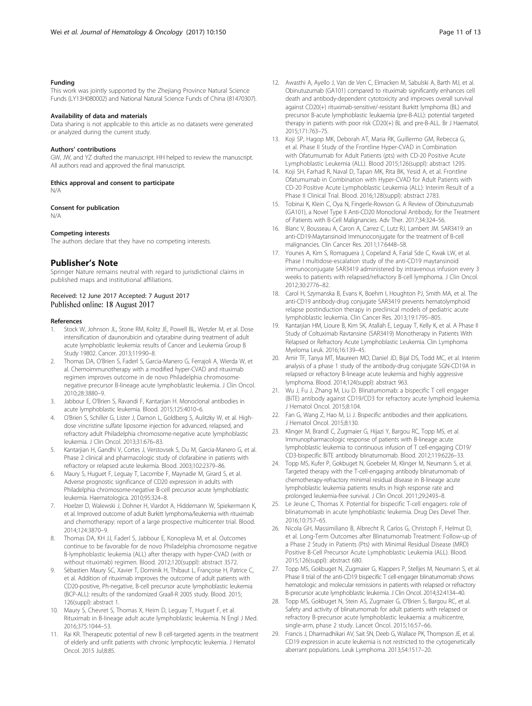#### <span id="page-10-0"></span>Funding

This work was jointly supported by the Zhejiang Province Natural Science Funds (LY13H080002) and National Natural Science Funds of China (81470307).

#### Availability of data and materials

Data sharing is not applicable to this article as no datasets were generated or analyzed during the current study.

#### Authors' contributions

GW, JW, and YZ drafted the manuscript. HH helped to review the manuscript. All authors read and approved the final manuscript.

Ethics approval and consent to participate

N/A

## Consent for publication

N/A

#### Competing interests

The authors declare that they have no competing interests.

#### Publisher's Note

Springer Nature remains neutral with regard to jurisdictional claims in published maps and institutional affiliations.

#### Received: 12 June 2017 Accepted: 7 August 2017 Published online: 18 August 2017

#### References

- Stock W, Johnson JL, Stone RM, Kolitz JE, Powell BL, Wetzler M, et al. Dose intensification of daunorubicin and cytarabine during treatment of adult acute lymphoblastic leukemia: results of Cancer and Leukemia Group B Study 19802. Cancer. 2013;119:90–8.
- 2. Thomas DA, O'Brien S, Faderl S, Garcia-Manero G, Ferrajoli A, Wierda W, et al. Chemoimmunotherapy with a modified hyper-CVAD and rituximab regimen improves outcome in de novo Philadelphia chromosomenegative precursor B-lineage acute lymphoblastic leukemia. J Clin Oncol. 2010;28:3880–9.
- 3. Jabbour E, O'Brien S, Ravandi F, Kantarjian H. Monoclonal antibodies in acute lymphoblastic leukemia. Blood. 2015;125:4010–6.
- 4. O'Brien S, Schiller G, Lister J, Damon L, Goldberg S, Aulitzky W, et al. Highdose vincristine sulfate liposome injection for advanced, relapsed, and refractory adult Philadelphia chromosome-negative acute lymphoblastic leukemia. J Clin Oncol. 2013;31:676–83.
- 5. Kantarjian H, Gandhi V, Cortes J, Verstovsek S, Du M, Garcia-Manero G, et al. Phase 2 clinical and pharmacologic study of clofarabine in patients with refractory or relapsed acute leukemia. Blood. 2003;102:2379–86.
- 6. Maury S, Huguet F, Leguay T, Lacombe F, Maynadie M, Girard S, et al. Adverse prognostic significance of CD20 expression in adults with Philadelphia chromosome-negative B-cell precursor acute lymphoblastic leukemia. Haematologica. 2010;95:324–8.
- Hoelzer D, Walewski J, Dohner H, Viardot A, Hiddemann W, Spiekermann K, et al. Improved outcome of adult Burkitt lymphoma/leukemia with rituximab and chemotherapy: report of a large prospective multicenter trial. Blood. 2014;124:3870–9.
- 8. Thomas DA, KH JJ, Faderl S, Jabbour E, Konopleva M, et al. Outcomes continue to be favorable for de novo Philadelphia chromosome negative B-lymphoblastic leukemia (ALL) after therapy with hyper-CVAD (with or without rituximab) regimen. Blood. 2012;120(suppl): abstract 3572.
- Sébastien Maury SC, Xavier T, Dominik H, Thibaut L, Françoise H, Patrice C, et al. Addition of rituximab improves the outcome of adult patients with CD20-positive, Ph-negative, B-cell precursor acute lymphoblastic leukemia (BCP-ALL): results of the randomized Graall-R 2005 study. Blood. 2015; 126(suppl): abstract 1.
- 10. Maury S, Chevret S, Thomas X, Heim D, Leguay T, Huguet F, et al. Rituximab in B-lineage adult acute lymphoblastic leukemia. N Engl J Med. 2016;375:1044–53.
- 11. Rai KR. Therapeutic potential of new B cell-targeted agents in the treatment of elderly and unfit patients with chronic lymphocytic leukemia. J Hematol Oncol. 2015 Jul;8:85.
- 12. Awasthi A, Ayello J, Van de Ven C, Elmacken M, Sabulski A, Barth MJ, et al. Obinutuzumab (GA101) compared to rituximab significantly enhances cell death and antibody-dependent cytotoxicity and improves overall survival against CD20(+) rituximab-sensitive/-resistant Burkitt lymphoma (BL) and precursor B-acute lymphoblastic leukaemia (pre-B-ALL): potential targeted therapy in patients with poor risk CD20(+) BL and pre-B-ALL. Br J Haematol. 2015;171:763–75.
- 13. Koji SP, Hagop MK, Deborah AT, Maria RK, Guillermo GM, Rebecca G, et al. Phase II Study of the Frontline Hyper-CVAD in Combination with Ofatumumab for Adult Patients (pts) with CD-20 Positive Acute Lymphoblastic Leukemia (ALL). Blood 2015;126(suppl): abstract 1295.
- 14. Koji SH, Farhad R, Naval D, Tapan MK, Rita BK, Yesid A, et al. Frontline Ofatumumab in Combination with Hyper-CVAD for Adult Patients with CD-20 Positive Acute Lymphoblastic Leukemia (ALL): Interim Result of a Phase II Clinical Trial. Blood. 2016;128(suppl): abstract 2783.
- 15. Tobinai K, Klein C, Oya N, Fingerle-Rowson G. A Review of Obinutuzumab (GA101), a Novel Type II Anti-CD20 Monoclonal Antibody, for the Treatment of Patients with B-Cell Malignancies. Adv Ther. 2017;34:324–56.
- 16. Blanc V, Bousseau A, Caron A, Carrez C, Lutz RJ, Lambert JM. SAR3419: an anti-CD19-Maytansinoid Immunoconjugate for the treatment of B-cell malignancies. Clin Cancer Res. 2011;17:6448–58.
- 17. Younes A, Kim S, Romaguera J, Copeland A, Farial Sde C, Kwak LW, et al. Phase I multidose-escalation study of the anti-CD19 maytansinoid immunoconjugate SAR3419 administered by intravenous infusion every 3 weeks to patients with relapsed/refractory B-cell lymphoma. J Clin Oncol. 2012;30:2776–82.
- 18. Carol H, Szymanska B, Evans K, Boehm I, Houghton PJ, Smith MA, et al. The anti-CD19 antibody-drug conjugate SAR3419 prevents hematolymphoid relapse postinduction therapy in preclinical models of pediatric acute lymphoblastic leukemia. Clin Cancer Res. 2013;19:1795–805.
- 19. Kantarjian HM, Lioure B, Kim SK, Atallah E, Leguay T, Kelly K, et al. A Phase II Study of Coltuximab Ravtansine (SAR3419) Monotherapy in Patients With Relapsed or Refractory Acute Lymphoblastic Leukemia. Clin Lymphoma Myeloma Leuk. 2016;16:139–45.
- 20. Amir TF, Tanya MT, Maureen MO, Daniel JD, Bijal DS, Todd MC, et al. Interim analysis of a phase 1 study of the antibody-drug conjugate SGN-CD19A in relapsed or refractory B-lineage acute leukemia and highly aggressive lymphoma. Blood. 2014;124(suppl): abstract 963.
- 21. Wu J, Fu J, Zhang M, Liu D. Blinatumomab: a bispecific T cell engager (BiTE) antibody against CD19/CD3 for refractory acute lymphoid leukemia. J Hematol Oncol. 2015;8:104.
- 22. Fan G, Wang Z, Hao M, Li J. Bispecific antibodies and their applications. J Hematol Oncol. 2015;8:130.
- 23. Klinger M, Brandl C, Zugmaier G, Hijazi Y, Bargou RC, Topp MS, et al. Immunopharmacologic response of patients with B-lineage acute lymphoblastic leukemia to continuous infusion of T cell-engaging CD19/ CD3-bispecific BiTE antibody blinatumomab. Blood. 2012;119:6226–33.
- 24. Topp MS, Kufer P, Gokbuget N, Goebeler M, Klinger M, Neumann S, et al. Targeted therapy with the T-cell-engaging antibody blinatumomab of chemotherapy-refractory minimal residual disease in B-lineage acute lymphoblastic leukemia patients results in high response rate and prolonged leukemia-free survival. J Clin Oncol. 2011;29:2493–8.
- 25. Le Jeune C, Thomas X. Potential for bispecific T-cell engagers: role of blinatumomab in acute lymphoblastic leukemia. Drug Des Devel Ther. 2016;10:757–65.
- 26. Nicola GH, Massimiliano B, Albrecht R, Carlos G, Christoph F, Helmut D, et al. Long-Term Outcomes after Blinatumomab Treatment: Follow-up of a Phase 2 Study in Patients (Pts) with Minimal Residual Disease (MRD) Positive B-Cell Precursor Acute Lymphoblastic Leukemia (ALL). Blood. 2015;126(suppl): abstract 680.
- 27. Topp MS, Gokbuget N, Zugmaier G, Klappers P, Stelljes M, Neumann S, et al. Phase II trial of the anti-CD19 bispecific T cell-engager blinatumomab shows hematologic and molecular remissions in patients with relapsed or refractory B-precursor acute lymphoblastic leukemia. J Clin Oncol. 2014;32:4134–40.
- 28. Topp MS, Gokbuget N, Stein AS, Zugmaier G, O'Brien S, Bargou RC, et al. Safety and activity of blinatumomab for adult patients with relapsed or refractory B-precursor acute lymphoblastic leukaemia: a multicentre, single-arm, phase 2 study. Lancet Oncol. 2015;16:57–66.
- 29. Francis J, Dharmadhikari AV, Sait SN, Deeb G, Wallace PK, Thompson JE, et al. CD19 expression in acute leukemia is not restricted to the cytogenetically aberrant populations. Leuk Lymphoma. 2013;54:1517–20.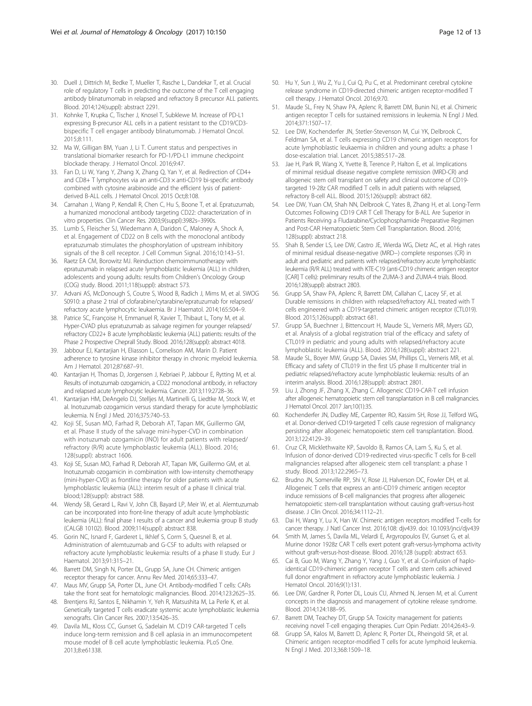- <span id="page-11-0"></span>30. Duell J, Dittrich M, Bedke T, Mueller T, Rasche L, Dandekar T, et al. Crucial role of regulatory T cells in predicting the outcome of the T cell engaging antibody blinatumomab in relapsed and refractory B precursor ALL patients. Blood. 2014;124(suppl): abstract 2291.
- 31. Kohnke T, Krupka C, Tischer J, Knosel T, Subklewe M. Increase of PD-L1 expressing B-precursor ALL cells in a patient resistant to the CD19/CD3 bispecific T cell engager antibody blinatumomab. J Hematol Oncol. 2015;8:111.
- 32. Ma W, Gilligan BM, Yuan J, Li T. Current status and perspectives in translational biomarker research for PD-1/PD-L1 immune checkpoint blockade therapy. J Hematol Oncol. 2016;9:47.
- 33. Fan D, Li W, Yang Y, Zhang X, Zhang Q, Yan Y, et al. Redirection of CD4+ and CD8+ T lymphocytes via an anti-CD3 × anti-CD19 bi-specific antibody combined with cytosine arabinoside and the efficient lysis of patientderived B-ALL cells. J Hematol Oncol. 2015 Oct;8:108.
- 34. Carnahan J, Wang P, Kendall R, Chen C, Hu S, Boone T, et al. Epratuzumab, a humanized monoclonal antibody targeting CD22: characterization of in vitro properties. Clin Cancer Res. 2003;9(suppl):3982s–3990s.
- 35. Lumb S, Fleischer SJ, Wiedemann A, Daridon C, Maloney A, Shock A, et al. Engagement of CD22 on B cells with the monoclonal antibody epratuzumab stimulates the phosphorylation of upstream inhibitory signals of the B cell receptor. J Cell Commun Signal. 2016;10:143–51.
- 36. Raetz EA CM, Borowitz MJ. Reinduction chemoimmunotherapy with epratuzumab in relapsed acute lymphoblastic leukemia (ALL) in children, adolescents and young adults: results from Children's Oncology Group (COG) study. Blood. 2011;118(suppl): abstract 573.
- 37. Advani AS, McDonough S, Coutre S, Wood B, Radich J, Mims M, et al. SWOG S0910: a phase 2 trial of clofarabine/cytarabine/epratuzumab for relapsed/ refractory acute lymphocytic leukaemia. Br J Haematol. 2014;165:504–9.
- 38. Patrice SC, Françoise H, Emmanuel R, Xavier T, Thibaut L, Tony M, et al. Hyper-CVAD plus epratuzumab as salvage regimen for younger relapsed/ refractory CD22+ B acute lymphoblastic leukemia (ALL) patients: results of the Phase 2 Prospective Cheprall Study. Blood. 2016;128(suppl): abstract 4018.
- 39. Jabbour EJ, Kantarjian H, Eliasson L, Cornelison AM, Marin D. Patient adherence to tyrosine kinase inhibitor therapy in chronic myeloid leukemia. Am J Hematol. 2012;87:687–91.
- 40. Kantarjian H, Thomas D, Jorgensen J, Kebriaei P, Jabbour E, Rytting M, et al. Results of inotuzumab ozogamicin, a CD22 monoclonal antibody, in refractory and relapsed acute lymphocytic leukemia. Cancer. 2013;119:2728–36.
- 41. Kantarjian HM, DeAngelo DJ, Stelljes M, Martinelli G, Liedtke M, Stock W, et al. Inotuzumab ozogamicin versus standard therapy for acute lymphoblastic leukemia. N Engl J Med. 2016;375:740–53.
- 42. Koji SE, Susan MO, Farhad R, Deborah AT, Tapan MK, Guillermo GM, et al. Phase II study of the salvage mini-hyper-CVD in combination with inotuzumab ozogamicin (INO) for adult patients with relapsed/ refractory (R/R) acute lymphoblastic leukemia (ALL). Blood. 2016; 128(suppl): abstract 1606.
- 43. Koji SE, Susan MO, Farhad R, Deborah AT, Tapan MK, Guillermo GM, et al. Inotuzumab ozogamicin in combination with low-intensity chemotherapy (mini-hyper-CVD) as frontline therapy for older patients with acute lymphoblastic leukemia (ALL): interim result of a phase II clinical trial. blood;128(suppl): abstract 588.
- 44. Wendy SB, Gerard L, Ravi V, John CB, Bayard LP, Meir W, et al. Alemtuzumab can be incorporated into front-line therapy of adult acute lymphoblastic leukemia (ALL): final phase I results of a cancer and leukemia group B study (CALGB 10102). Blood. 2009;114(suppl): abstract 838.
- 45. Gorin NC, Isnard F, Garderet L, Ikhlef S, Corm S, Quesnel B, et al. Administration of alemtuzumab and G-CSF to adults with relapsed or refractory acute lymphoblastic leukemia: results of a phase II study. Eur J Haematol. 2013;91:315–21.
- 46. Barrett DM, Singh N, Porter DL, Grupp SA, June CH. Chimeric antigen receptor therapy for cancer. Annu Rev Med. 2014;65:333–47.
- 47. Maus MV, Grupp SA, Porter DL, June CH. Antibody-modified T cells: CARs take the front seat for hematologic malignancies. Blood. 2014;123:2625–35.
- 48. Brentjens RJ, Santos E, Nikhamin Y, Yeh R, Matsushita M, La Perle K, et al. Genetically targeted T cells eradicate systemic acute lymphoblastic leukemia xenografts. Clin Cancer Res. 2007;13:5426–35.
- 49. Davila ML, Kloss CC, Gunset G, Sadelain M. CD19 CAR-targeted T cells induce long-term remission and B cell aplasia in an immunocompetent mouse model of B cell acute lymphoblastic leukemia. PLoS One. 2013;8:e61338.
- 50. Hu Y, Sun J, Wu Z, Yu J, Cui Q, Pu C, et al. Predominant cerebral cytokine release syndrome in CD19-directed chimeric antigen receptor-modified T cell therapy. J Hematol Oncol. 2016;9:70.
- 51. Maude SL, Frey N, Shaw PA, Aplenc R, Barrett DM, Bunin NJ, et al. Chimeric antigen receptor T cells for sustained remissions in leukemia. N Engl J Med. 2014;371:1507–17.
- 52. Lee DW, Kochenderfer JN, Stetler-Stevenson M, Cui YK, Delbrook C, Feldman SA, et al. T cells expressing CD19 chimeric antigen receptors for acute lymphoblastic leukaemia in children and young adults: a phase 1 dose-escalation trial. Lancet. 2015;385:517–28.
- 53. Jae H, Park IR, Wang X, Yvette B, Terence P, Halton E, et al. Implications of minimal residual disease negative complete remission (MRD-CR) and allogeneic stem cell transplant on safety and clinical outcome of CD19 targeted 19-28z CAR modified T cells in adult patients with relapsed, refractory B-cell ALL. Blood. 2015;126(suppl): abstract 682.
- 54. Lee DW, Yuan CM, Shah NN, Delbrook C, Yates B, Zhang H, et al. Long-Term Outcomes Following CD19 CAR T Cell Therapy for B-ALL Are Superior in Patients Receiving a Fludarabine/Cyclophosphamide Preparative Regimen and Post-CAR Hematopoietic Stem Cell Transplantation. Blood. 2016; 128(suppl): abstract 218.
- 55. Shah B, Sender LS, Lee DW, Castro JE, Wierda WG, Dietz AC, et al. High rates of minimal residual disease-negative (MRD−) complete responses (CR) in adult and pediatric and patients with relapsed/refractory acute lymphoblastic leukemia (R/R ALL) treated with KTE-C19 (anti-CD19 chimeric antigen receptor [CAR] T cells): preliminary results of the ZUMA-3 and ZUMA-4 trials. Blood. 2016;128(suppl): abstract 2803.
- 56. Grupp SA, Shaw PA, Aplenc R, Barrett DM, Callahan C, Lacey SF, et al. Durable remissions in children with relapsed/refractory ALL treated with T cells engineered with a CD19-targeted chimeric antigen receptor (CTL019). Blood. 2015;126(suppl): abstract 681.
- 57. Grupp SA, Buechner J, Bittencourt H, Maude SL, Verneris MR, Myers GD, et al. Analysis of a global registration trial of the efficacy and safety of CTL019 in pediatric and young adults with relapsed/refractory acute lymphoblastic leukemia (ALL). Blood. 2016;128(suppl): abstract 221.
- 58. Maude SL, Boyer MW, Grupp SA, Davies SM, Phillips CL, Verneris MR, et al. Efficacy and safety of CTL019 in the first US phase II multicenter trial in pediatric relapsed/refractory acute lymphoblastic leukemia: results of an interim analysis. Blood. 2016;128(suppl): abstract 2801.
- 59. Liu J, Zhong JF, Zhang X, Zhang C. Allogeneic CD19-CAR-T cell infusion after allogeneic hematopoietic stem cell transplantation in B cell malignancies. J Hematol Oncol. 2017 Jan;10(1):35.
- 60. Kochenderfer JN, Dudley ME, Carpenter RO, Kassim SH, Rose JJ, Telford WG, et al. Donor-derived CD19-targeted T cells cause regression of malignancy persisting after allogeneic hematopoietic stem cell transplantation. Blood. 2013;122:4129–39.
- 61. Cruz CR, Micklethwaite KP, Savoldo B, Ramos CA, Lam S, Ku S, et al. Infusion of donor-derived CD19-redirected virus-specific T cells for B-cell malignancies relapsed after allogeneic stem cell transplant: a phase 1 study. Blood. 2013;122:2965–73.
- 62. Brudno JN, Somerville RP, Shi V, Rose JJ, Halverson DC, Fowler DH, et al. Allogeneic T cells that express an anti-CD19 chimeric antigen receptor induce remissions of B-cell malignancies that progress after allogeneic hematopoietic stem-cell transplantation without causing graft-versus-host disease. J Clin Oncol. 2016;34:1112–21.
- 63. Dai H, Wang Y, Lu X, Han W. Chimeric antigen receptors modified T-cells for cancer therapy. J Natl Cancer Inst. 2016;108: djv439. doi: [10.1093/jnci/djv439](http://dx.doi.org/10.1093/jnci/djv439)
- 64. Smith M, James S, Davila ML, Velardi E, Argyropoulos EV, Gunset G, et al. Murine donor 1928z CAR T cells exert potent graft-versus-lymphoma activity without graft-versus-host-disease. Blood. 2016;128 (suppl): abstract 653.
- 65. Cai B, Guo M, Wang Y, Zhang Y, Yang J, Guo Y, et al. Co-infusion of haploidentical CD19-chimeric antigen receptor T cells and stem cells achieved full donor engraftment in refractory acute lymphoblastic leukemia. J Hematol Oncol. 2016;9(1):131.
- 66. Lee DW, Gardner R, Porter DL, Louis CU, Ahmed N, Jensen M, et al. Current concepts in the diagnosis and management of cytokine release syndrome. Blood. 2014;124:188–95.
- 67. Barrett DM, Teachey DT, Grupp SA. Toxicity management for patients receiving novel T-cell engaging therapies. Curr Opin Pediatr. 2014;26:43–9.
- 68. Grupp SA, Kalos M, Barrett D, Aplenc R, Porter DL, Rheingold SR, et al. Chimeric antigen receptor-modified T cells for acute lymphoid leukemia. N Engl J Med. 2013;368:1509–18.